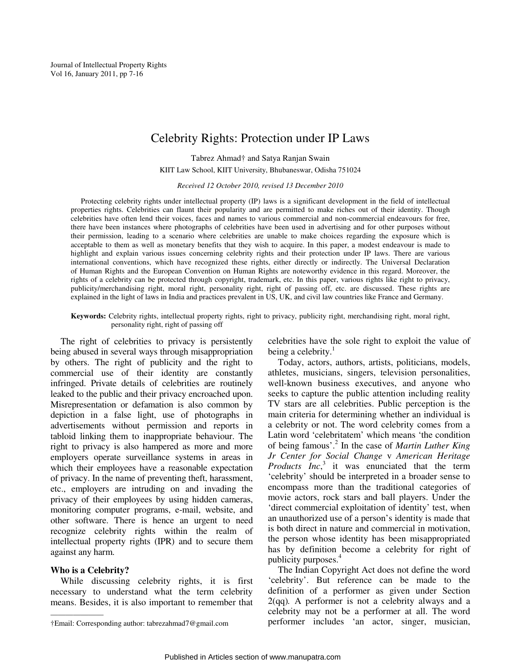Journal of Intellectual Property Rights Vol 16, January 2011, pp 7-16

# Celebrity Rights: Protection under IP Laws

Tabrez Ahmad† and Satya Ranjan Swain

KIIT Law School, KIIT University, Bhubaneswar, Odisha 751024

*Received 12 October 2010, revised 13 December 2010* 

Protecting celebrity rights under intellectual property (IP) laws is a significant development in the field of intellectual properties rights. Celebrities can flaunt their popularity and are permitted to make riches out of their identity. Though celebrities have often lend their voices, faces and names to various commercial and non-commercial endeavours for free, there have been instances where photographs of celebrities have been used in advertising and for other purposes without their permission, leading to a scenario where celebrities are unable to make choices regarding the exposure which is acceptable to them as well as monetary benefits that they wish to acquire. In this paper, a modest endeavour is made to highlight and explain various issues concerning celebrity rights and their protection under IP laws. There are various international conventions, which have recognized these rights, either directly or indirectly. The Universal Declaration of Human Rights and the European Convention on Human Rights are noteworthy evidence in this regard. Moreover, the rights of a celebrity can be protected through copyright, trademark, etc. In this paper, various rights like right to privacy, publicity/merchandising right, moral right, personality right, right of passing off, etc. are discussed. These rights are explained in the light of laws in India and practices prevalent in US, UK, and civil law countries like France and Germany.

**Keywords:** Celebrity rights, intellectual property rights, right to privacy, publicity right, merchandising right, moral right, personality right, right of passing off

The right of celebrities to privacy is persistently being abused in several ways through misappropriation by others. The right of publicity and the right to commercial use of their identity are constantly infringed. Private details of celebrities are routinely leaked to the public and their privacy encroached upon. Misrepresentation or defamation is also common by depiction in a false light, use of photographs in advertisements without permission and reports in tabloid linking them to inappropriate behaviour. The right to privacy is also hampered as more and more employers operate surveillance systems in areas in which their employees have a reasonable expectation of privacy. In the name of preventing theft, harassment, etc., employers are intruding on and invading the privacy of their employees by using hidden cameras, monitoring computer programs, e-mail, website, and other software. There is hence an urgent to need recognize celebrity rights within the realm of intellectual property rights (IPR) and to secure them against any harm.

# **Who is a Celebrity?**

———————

While discussing celebrity rights, it is first necessary to understand what the term celebrity means. Besides, it is also important to remember that celebrities have the sole right to exploit the value of being a celebrity. $<sup>1</sup>$ </sup>

Today, actors, authors, artists, politicians, models, athletes, musicians, singers, television personalities, well-known business executives, and anyone who seeks to capture the public attention including reality TV stars are all celebrities. Public perception is the main criteria for determining whether an individual is a celebrity or not. The word celebrity comes from a Latin word 'celebritatem' which means 'the condition of being famous'.<sup>2</sup> In the case of *Martin Luther King Jr Center for Social Change* v *American Heritage Products Inc*, 3 it was enunciated that the term 'celebrity' should be interpreted in a broader sense to encompass more than the traditional categories of movie actors, rock stars and ball players. Under the 'direct commercial exploitation of identity' test, when an unauthorized use of a person's identity is made that is both direct in nature and commercial in motivation, the person whose identity has been misappropriated has by definition become a celebrity for right of publicity purposes.<sup>4</sup>

The Indian Copyright Act does not define the word 'celebrity'. But reference can be made to the definition of a performer as given under Section 2(qq)*.* A performer is not a celebrity always and a celebrity may not be a performer at all. The word performer includes 'an actor, singer, musician,

<sup>†</sup>Email: Corresponding author: tabrezahmad7@gmail.com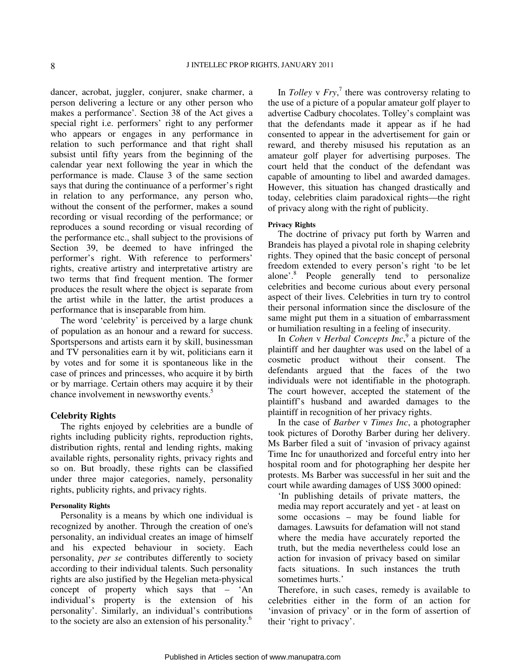dancer, acrobat, juggler, conjurer, snake charmer, a person delivering a lecture or any other person who makes a performance'*.* Section 38 of the Act gives a special right i.e. performers' right to any performer who appears or engages in any performance in relation to such performance and that right shall subsist until fifty years from the beginning of the calendar year next following the year in which the performance is made. Clause 3 of the same section says that during the continuance of a performer's right in relation to any performance, any person who, without the consent of the performer, makes a sound recording or visual recording of the performance; or reproduces a sound recording or visual recording of the performance etc., shall subject to the provisions of Section 39, be deemed to have infringed the performer's right. With reference to performers' rights, creative artistry and interpretative artistry are two terms that find frequent mention. The former produces the result where the object is separate from the artist while in the latter, the artist produces a performance that is inseparable from him.

The word 'celebrity' is perceived by a large chunk of population as an honour and a reward for success. Sportspersons and artists earn it by skill, businessman and TV personalities earn it by wit, politicians earn it by votes and for some it is spontaneous like in the case of princes and princesses, who acquire it by birth or by marriage. Certain others may acquire it by their chance involvement in newsworthy events.<sup>5</sup>

### **Celebrity Rights**

The rights enjoyed by celebrities are a bundle of rights including publicity rights, reproduction rights, distribution rights, rental and lending rights, making available rights, personality rights, privacy rights and so on. But broadly, these rights can be classified under three major categories, namely, personality rights, publicity rights, and privacy rights.

# **Personality Rights**

Personality is a means by which one individual is recognized by another. Through the creation of one's personality, an individual creates an image of himself and his expected behaviour in society. Each personality, *per se* contributes differently to society according to their individual talents. Such personality rights are also justified by the Hegelian meta-physical concept of property which says that – 'An individual's property is the extension of his personality'. Similarly, an individual's contributions to the society are also an extension of his personality.<sup>6</sup>

In *Tolley* v  $Fry$ ,<sup> $7$ </sup> there was controversy relating to the use of a picture of a popular amateur golf player to advertise Cadbury chocolates. Tolley's complaint was that the defendants made it appear as if he had consented to appear in the advertisement for gain or reward, and thereby misused his reputation as an amateur golf player for advertising purposes. The court held that the conduct of the defendant was capable of amounting to libel and awarded damages. However, this situation has changed drastically and today, celebrities claim paradoxical rights—the right of privacy along with the right of publicity.

# **Privacy Rights**

The doctrine of privacy put forth by Warren and Brandeis has played a pivotal role in shaping celebrity rights. They opined that the basic concept of personal freedom extended to every person's right 'to be let alone'.<sup>8</sup> People generally tend to personalize celebrities and become curious about every personal aspect of their lives. Celebrities in turn try to control their personal information since the disclosure of the same might put them in a situation of embarrassment or humiliation resulting in a feeling of insecurity.

In *Cohen* v *Herbal Concepts Inc*, 9 a picture of the plaintiff and her daughter was used on the label of a cosmetic product without their consent. The defendants argued that the faces of the two individuals were not identifiable in the photograph. The court however, accepted the statement of the plaintiff's husband and awarded damages to the plaintiff in recognition of her privacy rights.

In the case of *Barber* v *Times Inc*, a photographer took pictures of Dorothy Barber during her delivery. Ms Barber filed a suit of 'invasion of privacy against Time Inc for unauthorized and forceful entry into her hospital room and for photographing her despite her protests. Ms Barber was successful in her suit and the court while awarding damages of US\$ 3000 opined:

'In publishing details of private matters, the media may report accurately and yet - at least on some occasions – may be found liable for damages. Lawsuits for defamation will not stand where the media have accurately reported the truth, but the media nevertheless could lose an action for invasion of privacy based on similar facts situations. In such instances the truth sometimes hurts.'

Therefore, in such cases, remedy is available to celebrities either in the form of an action for 'invasion of privacy' or in the form of assertion of their 'right to privacy'.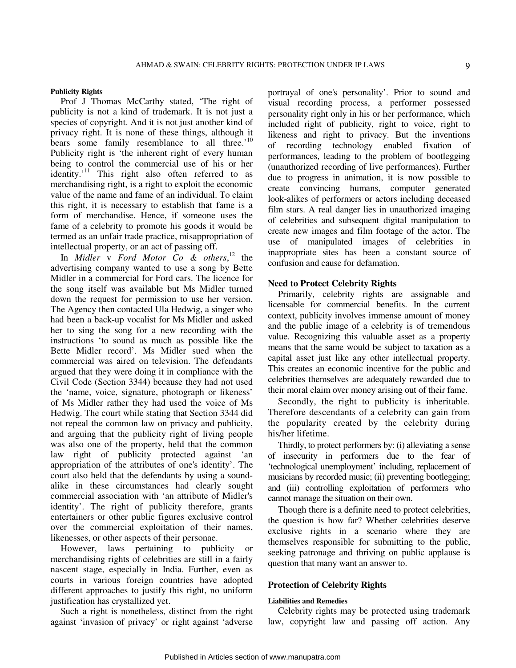# **Publicity Rights**

Prof J Thomas McCarthy stated, 'The right of publicity is not a kind of trademark. It is not just a species of copyright. And it is not just another kind of privacy right. It is none of these things, although it bears some family resemblance to all three.<sup>'10</sup> Publicity right is 'the inherent right of every human being to control the commercial use of his or her identity.<sup> $11$ </sup> This right also often referred to as merchandising right, is a right to exploit the economic value of the name and fame of an individual. To claim this right, it is necessary to establish that fame is a form of merchandise. Hence, if someone uses the fame of a celebrity to promote his goods it would be termed as an unfair trade practice, misappropriation of intellectual property, or an act of passing off.

In *Midler* v *Ford Motor Co & others*, <sup>12</sup> the advertising company wanted to use a song by Bette Midler in a commercial for Ford cars. The licence for the song itself was available but Ms Midler turned down the request for permission to use her version. The Agency then contacted Ula Hedwig, a singer who had been a back-up vocalist for Ms Midler and asked her to sing the song for a new recording with the instructions 'to sound as much as possible like the Bette Midler record'. Ms Midler sued when the commercial was aired on television. The defendants argued that they were doing it in compliance with the Civil Code (Section 3344) because they had not used the 'name, voice, signature, photograph or likeness' of Ms Midler rather they had used the voice of Ms Hedwig. The court while stating that Section 3344 did not repeal the common law on privacy and publicity, and arguing that the publicity right of living people was also one of the property, held that the common law right of publicity protected against 'an appropriation of the attributes of one's identity'. The court also held that the defendants by using a soundalike in these circumstances had clearly sought commercial association with 'an attribute of Midler's identity'. The right of publicity therefore, grants entertainers or other public figures exclusive control over the commercial exploitation of their names, likenesses, or other aspects of their personae.

However, laws pertaining to publicity or merchandising rights of celebrities are still in a fairly nascent stage, especially in India. Further, even as courts in various foreign countries have adopted different approaches to justify this right, no uniform justification has crystallized yet.

Such a right is nonetheless, distinct from the right against 'invasion of privacy' or right against 'adverse

portrayal of one's personality'. Prior to sound and visual recording process, a performer possessed personality right only in his or her performance, which included right of publicity, right to voice, right to likeness and right to privacy. But the inventions of recording technology enabled fixation of performances, leading to the problem of bootlegging (unauthorized recording of live performances). Further due to progress in animation, it is now possible to create convincing humans, computer generated look-alikes of performers or actors including deceased film stars. A real danger lies in unauthorized imaging of celebrities and subsequent digital manipulation to create new images and film footage of the actor. The use of manipulated images of celebrities in inappropriate sites has been a constant source of confusion and cause for defamation.

# **Need to Protect Celebrity Rights**

Primarily, celebrity rights are assignable and licensable for commercial benefits. In the current context, publicity involves immense amount of money and the public image of a celebrity is of tremendous value. Recognizing this valuable asset as a property means that the same would be subject to taxation as a capital asset just like any other intellectual property. This creates an economic incentive for the public and celebrities themselves are adequately rewarded due to their moral claim over money arising out of their fame.

Secondly, the right to publicity is inheritable. Therefore descendants of a celebrity can gain from the popularity created by the celebrity during his/her lifetime.

Thirdly, to protect performers by: (i) alleviating a sense of insecurity in performers due to the fear of 'technological unemployment' including, replacement of musicians by recorded music; (ii) preventing bootlegging; and (iii) controlling exploitation of performers who cannot manage the situation on their own.

Though there is a definite need to protect celebrities, the question is how far? Whether celebrities deserve exclusive rights in a scenario where they are themselves responsible for submitting to the public, seeking patronage and thriving on public applause is question that many want an answer to.

### **Protection of Celebrity Rights**

#### **Liabilities and Remedies**

Celebrity rights may be protected using trademark law, copyright law and passing off action. Any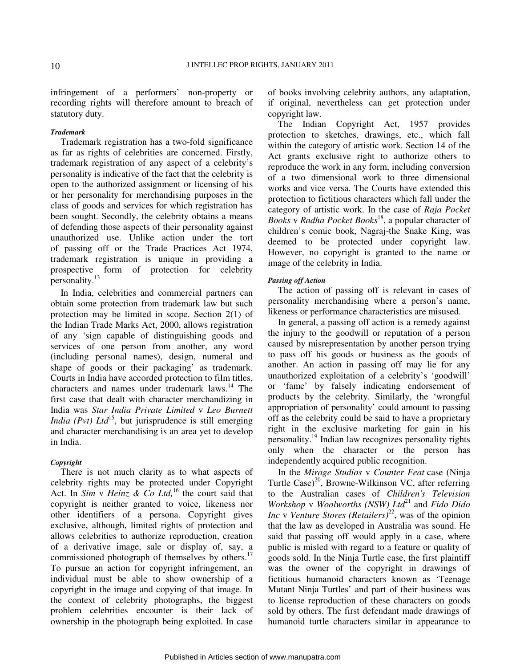infringement of a performers' non-property or recording rights will therefore amount to breach of statutory duty.

# *Trademark*

Trademark registration has a two-fold significance as far as rights of celebrities are concerned. Firstly, trademark registration of any aspect of a celebrity's personality is indicative of the fact that the celebrity is open to the authorized assignment or licensing of his or her personality for merchandising purposes in the class of goods and services for which registration has been sought. Secondly, the celebrity obtains a means of defending those aspects of their personality against unauthorized use. Unlike action under the tort of passing off or the Trade Practices Act 1974, trademark registration is unique in providing a prospective form of protection for celebrity personality.<sup>13</sup>

In India, celebrities and commercial partners can obtain some protection from trademark law but such protection may be limited in scope. Section 2(1) of the Indian Trade Marks Act, 2000, allows registration of any 'sign capable of distinguishing goods and services of one person from another, any word (including personal names), design, numeral and shape of goods or their packaging' as trademark. Courts in India have accorded protection to film titles, characters and names under trademark laws.<sup>14</sup> The first case that dealt with character merchandizing in India was *Star India Private Limited* v *Leo Burnett India (Pvt) Ltd*<sup>15</sup>, but jurisprudence is still emerging and character merchandising is an area yet to develop in India.

#### *Copyright*

There is not much clarity as to what aspects of celebrity rights may be protected under Copyright Act. In *Sim* v *Heinz & Co Ltd,*<sup>16</sup> the court said that copyright is neither granted to voice, likeness nor other identifiers of a persona. Copyright gives exclusive, although, limited rights of protection and allows celebrities to authorize reproduction, creation of a derivative image, sale or display of, say, a commissioned photograph of themselves by others.<sup>17</sup> To pursue an action for copyright infringement, an individual must be able to show ownership of a copyright in the image and copying of that image. In the context of celebrity photographs, the biggest problem celebrities encounter is their lack of ownership in the photograph being exploited. In case

of books involving celebrity authors, any adaptation, if original, nevertheless can get protection under copyright law.

The Indian Copyright Act, 1957 provides protection to sketches, drawings, etc., which fall within the category of artistic work. Section 14 of the Act grants exclusive right to authorize others to reproduce the work in any form, including conversion of a two dimensional work to three dimensional works and vice versa. The Courts have extended this protection to fictitious characters which fall under the category of artistic work. In the case of *Raja Pocket Books* v *Radha Pocket Books*<sup>18</sup>, a popular character of children's comic book, Nagraj-the Snake King, was deemed to be protected under copyright law. However, no copyright is granted to the name or image of the celebrity in India.

# *Passing off Action*

The action of passing off is relevant in cases of personality merchandising where a person's name, likeness or performance characteristics are misused.

In general, a passing off action is a remedy against the injury to the goodwill or reputation of a person caused by misrepresentation by another person trying to pass off his goods or business as the goods of another. An action in passing off may lie for any unauthorized exploitation of a celebrity's 'goodwill' or 'fame' by falsely indicating endorsement of products by the celebrity. Similarly, the 'wrongful appropriation of personality' could amount to passing off as the celebrity could be said to have a proprietary right in the exclusive marketing for gain in his personality.<sup>19</sup> Indian law recognizes personality rights only when the character or the person has independently acquired public recognition.

In the *Mirage Studios* v *Counter Feat* case (Ninja Turtle Case)<sup>20</sup>, Browne-Wilkinson VC, after referring to the Australian cases of *Children's Television Workshop* v *Woolworths (NSW) Ltd*<sup>21</sup> and *Fido Dido Inc v Venture Stores (Retailers)*<sup>22</sup>, was of the opinion that the law as developed in Australia was sound. He said that passing off would apply in a case, where public is misled with regard to a feature or quality of goods sold. In the Ninja Turtle case, the first plaintiff was the owner of the copyright in drawings of fictitious humanoid characters known as 'Teenage Mutant Ninja Turtles' and part of their business was to license reproduction of these characters on goods sold by others. The first defendant made drawings of humanoid turtle characters similar in appearance to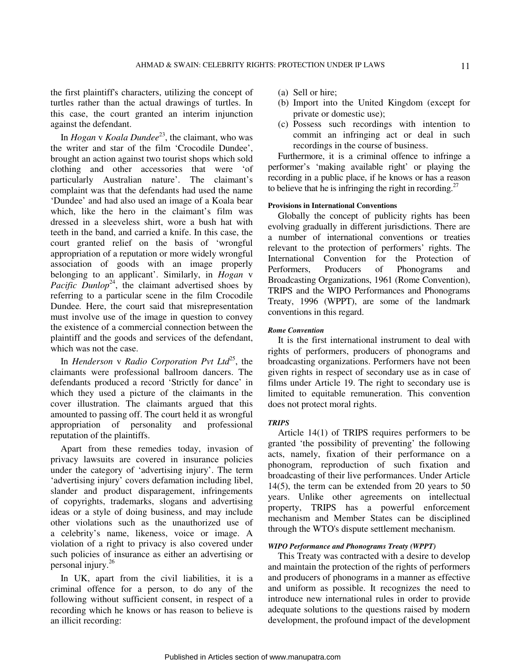the first plaintiff's characters, utilizing the concept of turtles rather than the actual drawings of turtles. In this case, the court granted an interim injunction against the defendant.

In *Hogan* v *Koala Dundee*<sup>23</sup>, the claimant, who was the writer and star of the film 'Crocodile Dundee', brought an action against two tourist shops which sold clothing and other accessories that were 'of particularly Australian nature'. The claimant's complaint was that the defendants had used the name 'Dundee' and had also used an image of a Koala bear which, like the hero in the claimant's film was dressed in a sleeveless shirt, wore a bush hat with teeth in the band, and carried a knife. In this case, the court granted relief on the basis of 'wrongful appropriation of a reputation or more widely wrongful association of goods with an image properly belonging to an applicant'. Similarly, in *Hogan* v Pacific Dunlop<sup>24</sup>, the claimant advertised shoes by referring to a particular scene in the film Crocodile Dundee*.* Here, the court said that misrepresentation must involve use of the image in question to convey the existence of a commercial connection between the plaintiff and the goods and services of the defendant, which was not the case.

In *Henderson* v Radio Corporation Pvt Ltd<sup>25</sup>, the claimants were professional ballroom dancers. The defendants produced a record 'Strictly for dance' in which they used a picture of the claimants in the cover illustration. The claimants argued that this amounted to passing off. The court held it as wrongful appropriation of personality and professional reputation of the plaintiffs.

Apart from these remedies today, invasion of privacy lawsuits are covered in insurance policies under the category of 'advertising injury'. The term 'advertising injury' covers defamation including libel, slander and product disparagement, infringements of copyrights, trademarks, slogans and advertising ideas or a style of doing business, and may include other violations such as the unauthorized use of a celebrity's name, likeness, voice or image. A violation of a right to privacy is also covered under such policies of insurance as either an advertising or personal injury.<sup>26</sup>

In UK, apart from the civil liabilities, it is a criminal offence for a person, to do any of the following without sufficient consent, in respect of a recording which he knows or has reason to believe is an illicit recording:

- (a) Sell or hire;
- (b) Import into the United Kingdom (except for private or domestic use);
- (c) Possess such recordings with intention to commit an infringing act or deal in such recordings in the course of business.

Furthermore, it is a criminal offence to infringe a performer's 'making available right' or playing the recording in a public place, if he knows or has a reason to believe that he is infringing the right in recording.<sup>27</sup>

# **Provisions in International Conventions**

Globally the concept of publicity rights has been evolving gradually in different jurisdictions. There are a number of international conventions or treaties relevant to the protection of performers' rights. The International Convention for the Protection of Performers, Producers of Phonograms and Broadcasting Organizations, 1961 (Rome Convention), TRIPS and the WIPO Performances and Phonograms Treaty, 1996 (WPPT), are some of the landmark conventions in this regard.

# *Rome Convention*

It is the first international instrument to deal with rights of performers, producers of phonograms and broadcasting organizations. Performers have not been given rights in respect of secondary use as in case of films under Article 19. The right to secondary use is limited to equitable remuneration. This convention does not protect moral rights.

# *TRIPS*

Article 14(1) of TRIPS requires performers to be granted 'the possibility of preventing' the following acts, namely, fixation of their performance on a phonogram, reproduction of such fixation and broadcasting of their live performances. Under Article 14(5), the term can be extended from 20 years to 50 years. Unlike other agreements on intellectual property, TRIPS has a powerful enforcement mechanism and Member States can be disciplined through the WTO's dispute settlement mechanism.

# *WIPO Performance and Phonograms Treaty (WPPT)*

This Treaty was contracted with a desire to develop and maintain the protection of the rights of performers and producers of phonograms in a manner as effective and uniform as possible. It recognizes the need to introduce new international rules in order to provide adequate solutions to the questions raised by modern development, the profound impact of the development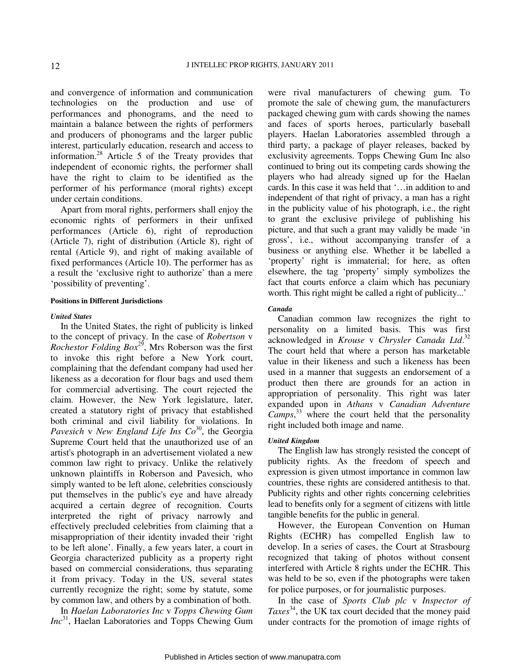and convergence of information and communication technologies on the production and use of performances and phonograms, and the need to maintain a balance between the rights of performers and producers of phonograms and the larger public interest, particularly education, research and access to information.<sup>28</sup> Article 5 of the Treaty provides that independent of economic rights, the performer shall have the right to claim to be identified as the performer of his performance (moral rights) except under certain conditions.

Apart from moral rights, performers shall enjoy the economic rights of performers in their unfixed performances (Article 6), right of reproduction (Article 7), right of distribution (Article 8), right of rental (Article 9), and right of making available of fixed performances (Article 10). The performer has as a result the 'exclusive right to authorize' than a mere 'possibility of preventing'.

### **Positions in Different Jurisdictions**

#### *United States*

In the United States, the right of publicity is linked to the concept of privacy. In the case of *Robertson* v *Rochestor Folding Box*<sup>29</sup>, Mrs Roberson was the first to invoke this right before a New York court, complaining that the defendant company had used her likeness as a decoration for flour bags and used them for commercial advertising. The court rejected the claim. However, the New York legislature, later, created a statutory right of privacy that established both criminal and civil liability for violations. In *Pavesich* v *New England Life Ins Co*<sup>30</sup>, the Georgia Supreme Court held that the unauthorized use of an artist's photograph in an advertisement violated a new common law right to privacy. Unlike the relatively unknown plaintiffs in Roberson and Pavesich, who simply wanted to be left alone, celebrities consciously put themselves in the public's eye and have already acquired a certain degree of recognition. Courts interpreted the right of privacy narrowly and effectively precluded celebrities from claiming that a misappropriation of their identity invaded their 'right to be left alone'. Finally, a few years later, a court in Georgia characterized publicity as a property right based on commercial considerations, thus separating it from privacy. Today in the US, several states currently recognize the right; some by statute, some by common law, and others by a combination of both.

In *Haelan Laboratories Inc* v *Topps Chewing Gum Inc*<sup>31</sup>, Haelan Laboratories and Topps Chewing Gum

were rival manufacturers of chewing gum. To promote the sale of chewing gum, the manufacturers packaged chewing gum with cards showing the names and faces of sports heroes, particularly baseball players. Haelan Laboratories assembled through a third party, a package of player releases, backed by exclusivity agreements. Topps Chewing Gum Inc also continued to bring out its competing cards showing the players who had already signed up for the Haelan cards. In this case it was held that '…in addition to and independent of that right of privacy, a man has a right in the publicity value of his photograph, i.e., the right to grant the exclusive privilege of publishing his picture, and that such a grant may validly be made 'in gross', i.e., without accompanying transfer of a business or anything else. Whether it be labelled a 'property' right is immaterial; for here, as often elsewhere, the tag 'property' simply symbolizes the fact that courts enforce a claim which has pecuniary worth. This right might be called a right of publicity...'

# *Canada*

Canadian common law recognizes the right to personality on a limited basis. This was first acknowledged in *Krouse* v *Chrysler Canada Ltd*. 32 The court held that where a person has marketable value in their likeness and such a likeness has been used in a manner that suggests an endorsement of a product then there are grounds for an action in appropriation of personality. This right was later expanded upon in *Athans* v *Canadian Adventure Camps*, <sup>33</sup> where the court held that the personality right included both image and name.

## *United Kingdom*

The English law has strongly resisted the concept of publicity rights. As the freedom of speech and expression is given utmost importance in common law countries, these rights are considered antithesis to that. Publicity rights and other rights concerning celebrities lead to benefits only for a segment of citizens with little tangible benefits for the public in general.

However, the European Convention on Human Rights (ECHR) has compelled English law to develop. In a series of cases, the Court at Strasbourg recognized that taking of photos without consent interfered with Article 8 rights under the ECHR. This was held to be so, even if the photographs were taken for police purposes, or for journalistic purposes.

In the case of *Sports Club plc* v *Inspector of Taxes*<sup>34</sup>, the UK tax court decided that the money paid under contracts for the promotion of image rights of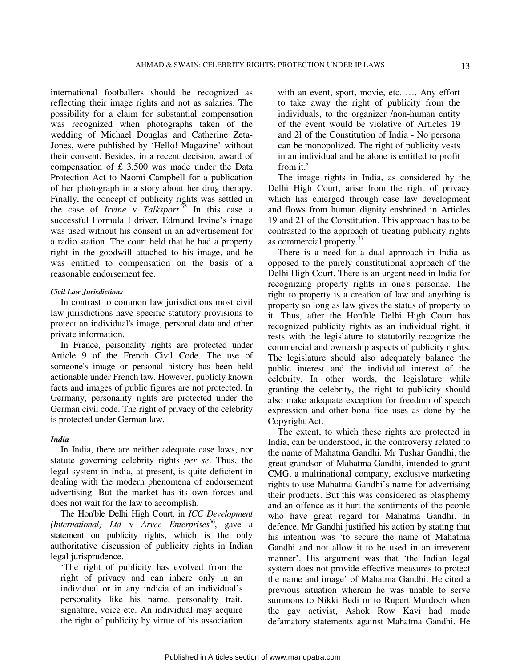international footballers should be recognized as reflecting their image rights and not as salaries. The possibility for a claim for substantial compensation was recognized when photographs taken of the wedding of Michael Douglas and Catherine Zeta-Jones, were published by 'Hello! Magazine' without their consent. Besides, in a recent decision, award of compensation of £ 3,500 was made under the Data Protection Act to Naomi Campbell for a publication of her photograph in a story about her drug therapy. Finally, the concept of publicity rights was settled in the case of *Irvine* v *Talksport*. <sup>35</sup> In this case a successful Formula I driver, Edmund Irvine's image was used without his consent in an advertisement for a radio station. The court held that he had a property right in the goodwill attached to his image, and he was entitled to compensation on the basis of a reasonable endorsement fee.

### *Civil Law Jurisdictions*

In contrast to common law jurisdictions most civil law jurisdictions have specific statutory provisions to protect an individual's image, personal data and other private information.

In France, personality rights are protected under Article 9 of the French Civil Code. The use of someone's image or personal history has been held actionable under French law. However, publicly known facts and images of public figures are not protected. In Germany, personality rights are protected under the German civil code. The right of privacy of the celebrity is protected under German law.

### *India*

In India, there are neither adequate case laws, nor statute governing celebrity rights *per se*. Thus, the legal system in India, at present, is quite deficient in dealing with the modern phenomena of endorsement advertising. But the market has its own forces and does not wait for the law to accomplish.

The Hon'ble Delhi High Court, in *ICC Development (International) Ltd* v *Arvee Enterprises*<sup>36</sup>, gave a statement on publicity rights, which is the only authoritative discussion of publicity rights in Indian legal jurisprudence.

'The right of publicity has evolved from the right of privacy and can inhere only in an individual or in any indicia of an individual's personality like his name, personality trait, signature, voice etc. An individual may acquire the right of publicity by virtue of his association

with an event, sport, movie, etc. …. Any effort to take away the right of publicity from the individuals, to the organizer /non-human entity of the event would be violative of Articles 19 and 2l of the Constitution of India - No persona can be monopolized. The right of publicity vests in an individual and he alone is entitled to profit from it.'

The image rights in India, as considered by the Delhi High Court, arise from the right of privacy which has emerged through case law development and flows from human dignity enshrined in Articles 19 and 21 of the Constitution. This approach has to be contrasted to the approach of treating publicity rights as commercial property.<sup>37</sup>

There is a need for a dual approach in India as opposed to the purely constitutional approach of the Delhi High Court. There is an urgent need in India for recognizing property rights in one's personae. The right to property is a creation of law and anything is property so long as law gives the status of property to it. Thus, after the Hon'ble Delhi High Court has recognized publicity rights as an individual right, it rests with the legislature to statutorily recognize the commercial and ownership aspects of publicity rights. The legislature should also adequately balance the public interest and the individual interest of the celebrity. In other words, the legislature while granting the celebrity, the right to publicity should also make adequate exception for freedom of speech expression and other bona fide uses as done by the Copyright Act.

The extent, to which these rights are protected in India, can be understood, in the controversy related to the name of Mahatma Gandhi. Mr Tushar Gandhi, the great grandson of Mahatma Gandhi, intended to grant CMG, a multinational company, exclusive marketing rights to use Mahatma Gandhi's name for advertising their products. But this was considered as blasphemy and an offence as it hurt the sentiments of the people who have great regard for Mahatma Gandhi. In defence, Mr Gandhi justified his action by stating that his intention was 'to secure the name of Mahatma Gandhi and not allow it to be used in an irreverent manner'. His argument was that 'the Indian legal system does not provide effective measures to protect the name and image' of Mahatma Gandhi. He cited a previous situation wherein he was unable to serve summons to Nikki Bedi or to Rupert Murdoch when the gay activist, Ashok Row Kavi had made defamatory statements against Mahatma Gandhi. He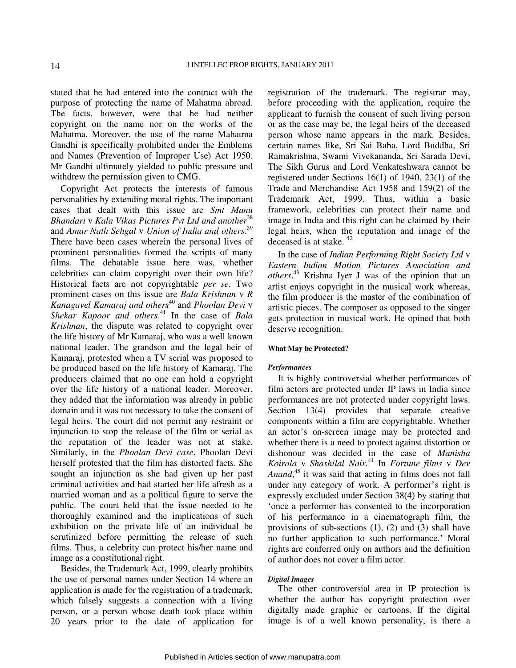stated that he had entered into the contract with the purpose of protecting the name of Mahatma abroad. The facts, however, were that he had neither copyright on the name nor on the works of the Mahatma. Moreover, the use of the name Mahatma Gandhi is specifically prohibited under the Emblems and Names (Prevention of Improper Use) Act 1950. Mr Gandhi ultimately yielded to public pressure and withdrew the permission given to CMG.

Copyright Act protects the interests of famous personalities by extending moral rights. The important cases that dealt with this issue are *Smt Manu Bhandari* v *Kala Vikas Pictures Pvt Ltd and another*<sup>38</sup> and *Amar Nath Sehgal* v *Union of India and others*. 39 There have been cases wherein the personal lives of prominent personalities formed the scripts of many films. The debatable issue here was, whether celebrities can claim copyright over their own life? Historical facts are not copyrightable *per se*. Two prominent cases on this issue are *Bala Krishnan* v *R Kanagavel Kamaraj and others*<sup>40</sup> and *Phoolan Devi* v *Shekar Kapoor and others*. <sup>41</sup> In the case of *Bala Krishnan*, the dispute was related to copyright over the life history of Mr Kamaraj, who was a well known national leader. The grandson and the legal heir of Kamaraj, protested when a TV serial was proposed to be produced based on the life history of Kamaraj. The producers claimed that no one can hold a copyright over the life history of a national leader. Moreover, they added that the information was already in public domain and it was not necessary to take the consent of legal heirs. The court did not permit any restraint or injunction to stop the release of the film or serial as the reputation of the leader was not at stake. Similarly, in the *Phoolan Devi case*, Phoolan Devi herself protested that the film has distorted facts. She sought an injunction as she had given up her past criminal activities and had started her life afresh as a married woman and as a political figure to serve the public. The court held that the issue needed to be thoroughly examined and the implications of such exhibition on the private life of an individual be scrutinized before permitting the release of such films. Thus, a celebrity can protect his/her name and image as a constitutional right.

Besides, the Trademark Act, 1999, clearly prohibits the use of personal names under Section 14 where an application is made for the registration of a trademark, which falsely suggests a connection with a living person, or a person whose death took place within 20 years prior to the date of application for registration of the trademark. The registrar may, before proceeding with the application, require the applicant to furnish the consent of such living person or as the case may be, the legal heirs of the deceased person whose name appears in the mark. Besides, certain names like, Sri Sai Baba, Lord Buddha, Sri Ramakrishna, Swami Vivekananda, Sri Sarada Devi, The Sikh Gurus and Lord Venkateshwara cannot be registered under Sections 16(1) of 1940, 23(1) of the Trade and Merchandise Act 1958 and 159(2) of the Trademark Act, 1999. Thus, within a basic framework, celebrities can protect their name and image in India and this right can be claimed by their legal heirs, when the reputation and image of the deceased is at stake. <sup>42</sup>

In the case of *Indian Performing Right Society Ltd* v *Eastern Indian Motion Pictures Association and others*, <sup>43</sup> Krishna Iyer J was of the opinion that an artist enjoys copyright in the musical work whereas, the film producer is the master of the combination of artistic pieces. The composer as opposed to the singer gets protection in musical work. He opined that both deserve recognition.

#### **What May be Protected?**

#### *Performances*

It is highly controversial whether performances of film actors are protected under IP laws in India since performances are not protected under copyright laws. Section 13(4) provides that separate creative components within a film are copyrightable. Whether an actor's on-screen image may be protected and whether there is a need to protect against distortion or dishonour was decided in the case of *Manisha Koirala* v *Shashilal Nair.*<sup>44</sup> In *Fortune films* v *Dev Anand*, <sup>45</sup> it was said that acting in films does not fall under any category of work. A performer's right is expressly excluded under Section 38(4) by stating that 'once a performer has consented to the incorporation of his performance in a cinematograph film, the provisions of sub-sections (1), (2) and (3) shall have no further application to such performance.' Moral rights are conferred only on authors and the definition of author does not cover a film actor.

# *Digital Images*

The other controversial area in IP protection is whether the author has copyright protection over digitally made graphic or cartoons. If the digital image is of a well known personality, is there a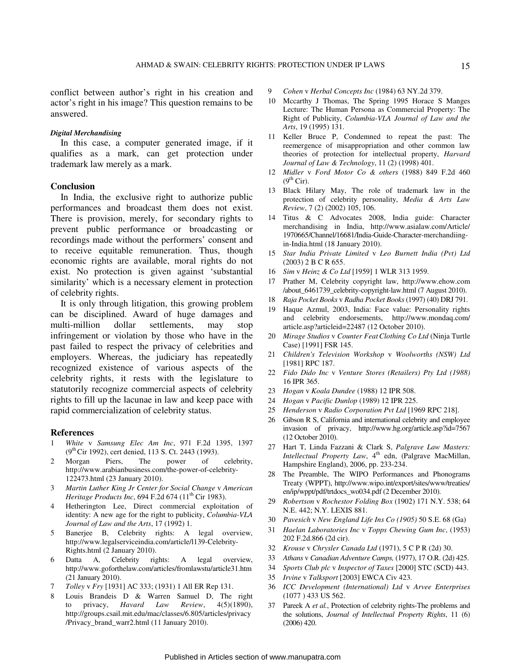conflict between author's right in his creation and actor's right in his image? This question remains to be answered.

### *Digital Merchandising*

In this case, a computer generated image, if it qualifies as a mark, can get protection under trademark law merely as a mark.

# **Conclusion**

In India, the exclusive right to authorize public performances and broadcast them does not exist. There is provision, merely, for secondary rights to prevent public performance or broadcasting or recordings made without the performers' consent and to receive equitable remuneration. Thus, though economic rights are available, moral rights do not exist. No protection is given against 'substantial similarity' which is a necessary element in protection of celebrity rights.

It is only through litigation, this growing problem can be disciplined. Award of huge damages and multi-million dollar settlements, may stop infringement or violation by those who have in the past failed to respect the privacy of celebrities and employers. Whereas, the judiciary has repeatedly recognized existence of various aspects of the celebrity rights, it rests with the legislature to statutorily recognize commercial aspects of celebrity rights to fill up the lacunae in law and keep pace with rapid commercialization of celebrity status.

#### **References**

- 1 *White* v *Samsung Elec Am Inc*, 971 F.2d 1395, 1397 (9th Cir 1992), cert denied, 113 S. Ct. 2443 (1993).
- 2 Morgan Piers, The power of celebrity, http://www.arabianbusiness.com/the-power-of-celebrity-122473.html (23 January 2010).
- 3 *Martin Luther King Jr Center for Social Change* v *American Heritage Products Inc*, 694 F.2d 674 (11<sup>th</sup> Cir 1983).
- 4 Hetherington Lee, Direct commercial exploitation of identity: A new age for the right to publicity, *Columbia-VLA Journal of Law and the Arts*, 17 (1992) 1.
- 5 Banerjee B, Celebrity rights: A legal overview, http://www.legalserviceindia.com/article/l139-Celebrity-Rights.html (2 January 2010).
- 6 Datta A, Celebrity rights: A legal overview, http://www.goforthelaw.com/articles/fromlawstu/article31.htm (21 January 2010).
- 7 *Tolley* v *Fry* [1931] AC 333; (1931) 1 All ER Rep 131.
- 8 Louis Brandeis D & Warren Samuel D, The right to privacy, *Havard Law Review*, 4(5)(1890), http://groups.csail.mit.edu/mac/classes/6.805/articles/privacy /Privacy\_brand\_warr2.html (11 January 2010).
- 9 *Cohen* v *Herbal Concepts Inc* (1984) 63 NY.2d 379.
- 10 Mccarthy J Thomas, The Spring 1995 Horace S Manges Lecture: The Human Persona as Commercial Property: The Right of Publicity, *Columbia-VLA Journal of Law and the Arts*, 19 (1995) 131.
- 11 Keller Bruce P, Condemned to repeat the past: The reemergence of misappropriation and other common law theories of protection for intellectual property, *Harvard Journal of Law & Technology*, 11 (2) (1998) 401.
- 12 *Midler* v *Ford Motor Co & others* (1988) 849 F.2d 460  $(9<sup>th</sup> Cir).$
- 13 Black Hilary May, The role of trademark law in the protection of celebrity personality, *Media & Arts Law Review*, 7 (2) (2002) 105, 106.
- 14 Titus & C Advocates 2008, India guide: Character merchandising in India, http://www.asialaw.com/Article/ 1970665/Channel/16681/India-Guide-Character-merchandiingin-India.html (18 January 2010).
- 15 *Star India Private Limited* v *Leo Burnett India (Pvt) Ltd* (2003) 2 B C R 655.
- 16 *Sim* v *Heinz & Co Ltd* [1959] 1 WLR 313 1959.
- 17 Prather M, Celebrity copyright law, http://www.ehow.com /about\_6461739\_celebrity-copyright-law.html (7 August 2010).
- 18 *Raja Pocket Books* v *Radha Pocket Books* (1997) (40) DRJ 791.
- 19 Haque Azmul, 2003, India: Face value: Personality rights and celebrity endorsements, http://www.mondaq.com/ article.asp?articleid=22487 (12 October 2010).
- 20 *Mirage Studios* v *Counter FeatClothing Co Ltd* (Ninja Turtle Case) [1991] FSR 145.
- 21 *Children's Television Workshop* v *Woolworths (NSW) Ltd* [1981] RPC 187.
- 22 *Fido Dido Inc* v *Venture Stores (Retailers) Pty Ltd (1988)*  16 IPR 365.
- 23 *Hogan* v *Koala Dundee* (1988) 12 IPR 508.
- 24 *Hogan* v *Pacific Dunlop* (1989) 12 IPR 225.
- 25 *Henderson* v *Radio Corporation Pvt Ltd* [1969 RPC 218].
- 26 Gibson R S, California and international celebrity and employee invasion of privacy, http://www.hg.org/article.asp?id=7567 (12 October 2010).
- 27 Hart T, Linda Fazzani & Clark S, *Palgrave Law Masters: Intellectual Property Law*, 4<sup>th</sup> edn, (Palgrave MacMillan, Hampshire England), 2006, pp. 233-234.
- 28 The Preamble, The WIPO Performances and Phonograms Treaty (WPPT), http://www.wipo.int/export/sites/www/treaties/ en/ip/wppt/pdf/trtdocs\_wo034.pdf (2 December 2010).
- 29 *Robertson* v *Rochestor Folding Box* (1902) 171 N.Y. 538; 64 N.E. 442; N.Y. LEXIS 881.
- 30 *Pavesich* v *New England Life Ins Co (1905)* 50 S.E. 68 (Ga)
- 31 *Haelan Laboratories Inc* v *Topps Chewing Gum Inc*, (1953) 202 F.2d.866 (2d cir).
- 32 *Krouse* v *Chrysler Canada Ltd* (1971), 5 C P R (2d) 30.
- 33 *Athans* v *Canadian Adventure Camps,* (1977), 17 O.R. (2d) 425.
- 34 *Sports Club plc* v *Inspector of Taxes* [2000] STC (SCD) 443.
- 35 *Irvine* v *Talksport* [2003] EWCA Civ 423.
- 36 *ICC Development (International) Ltd* v *Arvee Enterprises* (1077 ) 433 US 562.
- 37 Pareek A *et al.*, Protection of celebrity rights-The problems and the solutions, *Journal of Intellectual Property Rights*, 11 (6) (2006) 420.